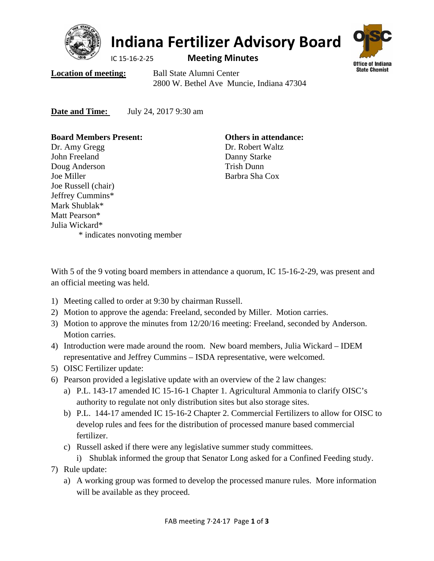

# **Indiana Fertilizer Advisory Board**

IC 15‐16‐2‐25 **Meeting Minutes**



**Location of meeting:** Ball State Alumni Center 2800 W. Bethel Ave Muncie, Indiana 47304

**Date <u>and Time:</u>** July 24, 2017 9:30 am

**Board Members Present:**  Dr. Amy Gregg John Freeland Doug Anderson Joe Miller Joe Russell (chair) Jeffrey Cummins\* Mark Shublak\* Matt Pearson\* Julia Wickard\* \* indicates nonvoting member

**Others in attendance:**  Dr. Robert Waltz Danny Starke Trish Dunn Barbra Sha Cox

With 5 of the 9 voting board members in attendance a quorum, IC 15-16-2-29, was present and an official meeting was held.

- 1) Meeting called to order at 9:30 by chairman Russell.
- 2) Motion to approve the agenda: Freeland, seconded by Miller. Motion carries.
- 3) Motion to approve the minutes from 12/20/16 meeting: Freeland, seconded by Anderson. Motion carries.
- 4) Introduction were made around the room. New board members, Julia Wickard IDEM representative and Jeffrey Cummins – ISDA representative, were welcomed.
- 5) OISC Fertilizer update:
- 6) Pearson provided a legislative update with an overview of the 2 law changes:
	- a) P.L. 143-17 amended IC 15-16-1 Chapter 1. Agricultural Ammonia to clarify OISC's authority to regulate not only distribution sites but also storage sites.
	- b) P.L. 144-17 amended IC 15-16-2 Chapter 2. Commercial Fertilizers to allow for OISC to develop rules and fees for the distribution of processed manure based commercial fertilizer.
	- c) Russell asked if there were any legislative summer study committees.
		- i) Shublak informed the group that Senator Long asked for a Confined Feeding study.
- 7) Rule update:
	- a) A working group was formed to develop the processed manure rules. More information will be available as they proceed.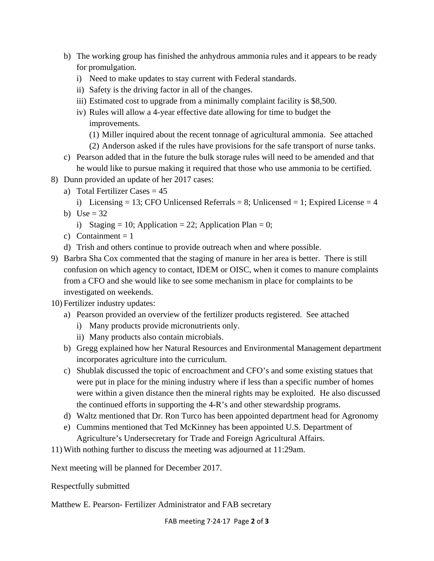- b) The working group has finished the anhydrous ammonia rules and it appears to be ready for promulgation.
	- i) Need to make updates to stay current with Federal standards.
	- ii) Safety is the driving factor in all of the changes.
	- iii) Estimated cost to upgrade from a minimally complaint facility is \$8,500.
	- iv) Rules will allow a 4-year effective date allowing for time to budget the improvements.
		- (1) Miller inquired about the recent tonnage of agricultural ammonia. See attached
		- (2) Anderson asked if the rules have provisions for the safe transport of nurse tanks.
- c) Pearson added that in the future the bulk storage rules will need to be amended and that he would like to pursue making it required that those who use ammonia to be certified.
- 8) Dunn provided an update of her 2017 cases:
	- a) Total Fertilizer Cases  $= 45$ 
		- i) Licensing = 13; CFO Unlicensed Referrals = 8; Unlicensed = 1; Expired License =  $4$
	- b) Use  $= 32$ 
		- i) Staging = 10; Application = 22; Application Plan = 0;
	- c) Containment  $= 1$
	- d) Trish and others continue to provide outreach when and where possible.
- 9) Barbra Sha Cox commented that the staging of manure in her area is better. There is still confusion on which agency to contact, IDEM or OISC, when it comes to manure complaints from a CFO and she would like to see some mechanism in place for complaints to be investigated on weekends.
- 10) Fertilizer industry updates:
	- a) Pearson provided an overview of the fertilizer products registered. See attached
		- i) Many products provide micronutrients only.
		- ii) Many products also contain microbials.
	- b) Gregg explained how her Natural Resources and Environmental Management department incorporates agriculture into the curriculum.
	- c) Shublak discussed the topic of encroachment and CFO's and some existing statues that were put in place for the mining industry where if less than a specific number of homes were within a given distance then the mineral rights may be exploited. He also discussed the continued efforts in supporting the 4-R's and other stewardship programs.
	- d) Waltz mentioned that Dr. Ron Turco has been appointed department head for Agronomy
	- e) Cummins mentioned that Ted McKinney has been appointed U.S. Department of Agriculture's Undersecretary for Trade and Foreign Agricultural Affairs.
- 11) With nothing further to discuss the meeting was adjourned at 11:29am.

Next meeting will be planned for December 2017.

Respectfully submitted

Matthew E. Pearson- Fertilizer Administrator and FAB secretary